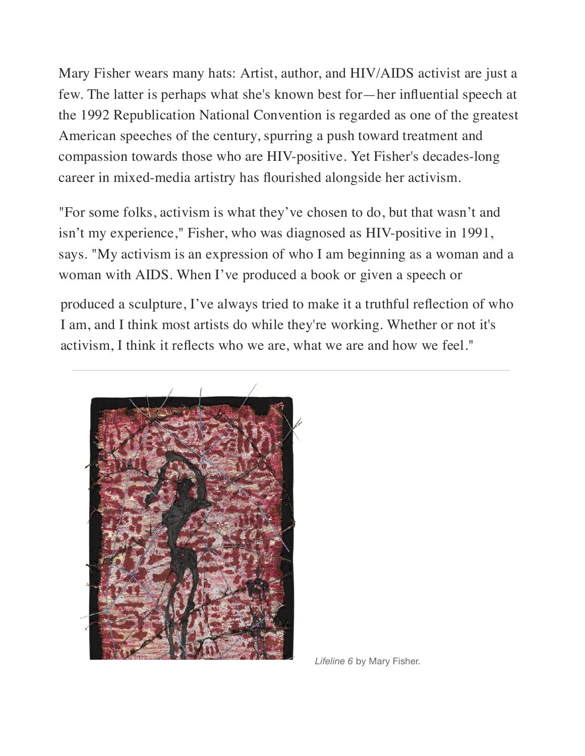Mary Fisher wears many hats: Artist, author, and HIV/AIDS activist are just a few. The latter is perhaps what she's known best for—her influential speech at the 1992 Republication National Convention is regarded as one of the greatest American speeches of the century, spurring a push toward treatment and compassion towards those who are HIV-positive. Yet Fisher's decades-long career in mixed-media artistry has flourished alongside her activism.

"For some folks, activism is what they've chosen to do, but that wasn't and isn't my experience," Fisher, who was diagnosed as HIV-positive in 1991, says. "My activism is an expression of who I am beginning as a woman and a woman with AIDS. When I've produced a book or given a speech or

produced a sculpture, I've always tried to make it a truthful reflection of who I am, and I think most artists do while they're working. Whether or not it's activism, I think it reflects who we are, what we are and how we feel."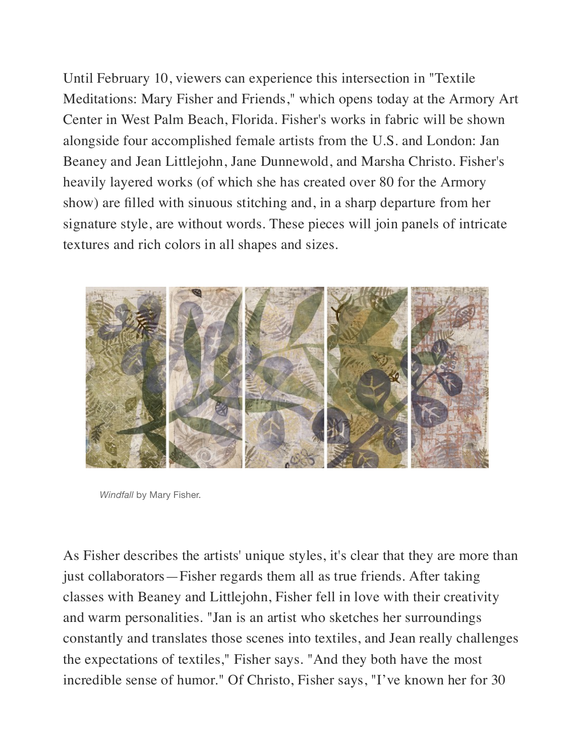Until February 10, viewers can experience this intersection in "Textile Meditations: Mary Fisher and Friends," which opens today at the Armory Art Center in West Palm Beach, Florida. Fisher's works in fabric will be shown alongside four accomplished female artists from the U.S. and London: Jan Beaney and Jean Littlejohn, Jane Dunnewold, and Marsha Christo. Fisher's heavily layered works (of which she has created over 80 for the Armory show) are filled with sinuous stitching and, in a sharp departure from her signature style, are without words. These pieces will join panels of intricate textures and rich colors in all shapes and sizes.



*[Wind](https://www.pinterest.com/pin/create/button/?url=https%3A%2F%2Fwww.architecturaldigest.com%2Fstory%2Fart-and-activism-merge-in-mary-fisher-textiles&media=https%3A%2F%2Fmedia.architecturaldigest.com%2Fphotos%2F5a626b49b434a423330b66a2%2F1%3A1%2Fw_680%2Cc_limit%2F07_Mary%2520Fisher%2520Windfall.jpg&description=)fall* by M[ary Fis](https://www.facebook.com/sharer/sharer.php?u=https%3A%2F%2Fwww.architecturaldigest.com%2Fstory%2Fart-and-activism-merge-in-mary-fisher-textiles&t=)her.

As Fisher describes the artists' unique styles, it's clear that they are more than just collaborators—Fisher regards them all as true friends. After taking classes with Beaney and Littlejohn, Fisher fell in love with their creativity and warm personalities. "Jan is an artist who sketches her surroundings constantly and translates those scenes into textiles, and Jean really challenges the expectations of textiles," Fisher says. "And they both have the most [incredib](https://www.pinterest.com/pin/create/button/?url=https%3A%2F%2Fwww.architecturaldigest.com%2Fstory%2Fart-and-activism-merge-in-mary-fisher-textiles&media=https%3A%2F%2Fmedia.architecturaldigest.com%2Fphotos%2F5a626b5b9bf0a56adcbccec7%2Fmaster%2Fpass%2F02_Mary%2520Fisher%2520Fractured%2520Line.jpg&description=Art%20and%20Activism%20Merge%20in%20Mary%20Fisher%27s%20Textiles)[le sense of hu](https://www.facebook.com/sharer/sharer.php?u=https%3A%2F%2Fwww.architecturaldigest.com%2Fstory%2Fart-and-activism-merge-in-mary-fisher-textiles&t=Art%20and%20Activism%20Merge%20in%20Mary%20Fisher%27s%20Textiles)[mor." Of Chris](https://twitter.com/share?text=Art%20and%20Activism%20Merge%20in%20Mary%20Fisher%27s%20Textiles&via=ArchDigest&url=https%3A%2F%2Fwww.architecturaldigest.com%2Fstory%2Fart-and-activism-merge-in-mary-fisher-textiles)to, Fisher says, "I've known her for 30